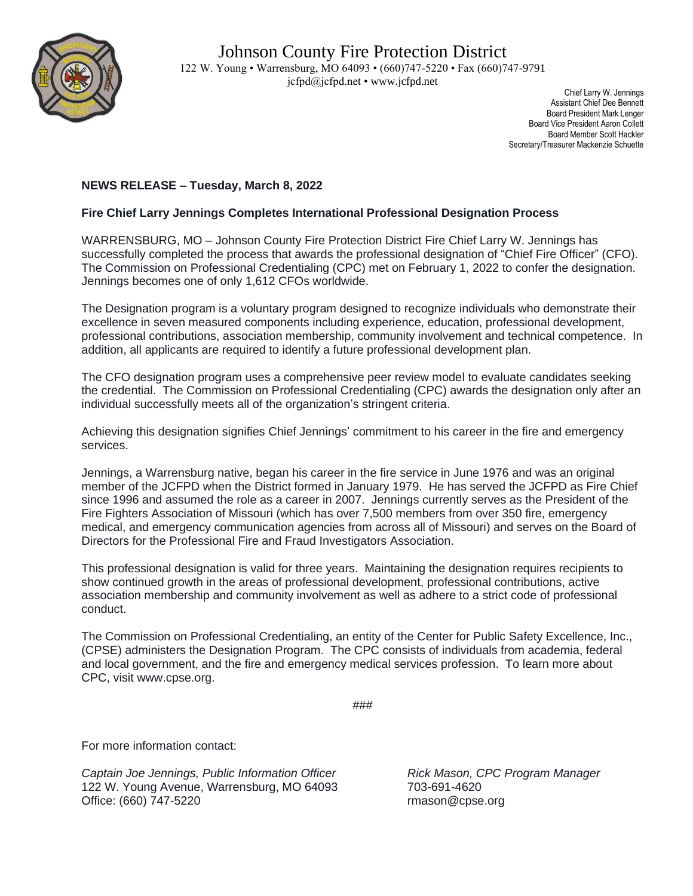

 Chief Larry W. Jennings Assistant Chief Dee Bennett Board President Mark Lenger Board Vice President Aaron Collett Board Member Scott Hackler Secretary/Treasurer Mackenzie Schuette

## **NEWS RELEASE – Tuesday, March 8, 2022**

## **Fire Chief Larry Jennings Completes International Professional Designation Process**

WARRENSBURG, MO – Johnson County Fire Protection District Fire Chief Larry W. Jennings has successfully completed the process that awards the professional designation of "Chief Fire Officer" (CFO). The Commission on Professional Credentialing (CPC) met on February 1, 2022 to confer the designation. Jennings becomes one of only 1,612 CFOs worldwide.

The Designation program is a voluntary program designed to recognize individuals who demonstrate their excellence in seven measured components including experience, education, professional development, professional contributions, association membership, community involvement and technical competence. In addition, all applicants are required to identify a future professional development plan.

The CFO designation program uses a comprehensive peer review model to evaluate candidates seeking the credential. The Commission on Professional Credentialing (CPC) awards the designation only after an individual successfully meets all of the organization's stringent criteria.

Achieving this designation signifies Chief Jennings' commitment to his career in the fire and emergency services.

Jennings, a Warrensburg native, began his career in the fire service in June 1976 and was an original member of the JCFPD when the District formed in January 1979. He has served the JCFPD as Fire Chief since 1996 and assumed the role as a career in 2007. Jennings currently serves as the President of the Fire Fighters Association of Missouri (which has over 7,500 members from over 350 fire, emergency medical, and emergency communication agencies from across all of Missouri) and serves on the Board of Directors for the Professional Fire and Fraud Investigators Association.

This professional designation is valid for three years. Maintaining the designation requires recipients to show continued growth in the areas of professional development, professional contributions, active association membership and community involvement as well as adhere to a strict code of professional conduct.

The Commission on Professional Credentialing, an entity of the Center for Public Safety Excellence, Inc., (CPSE) administers the Designation Program. The CPC consists of individuals from academia, federal and local government, and the fire and emergency medical services profession. To learn more about CPC, visit www.cpse.org.

```
###
```
For more information contact:

*Captain Joe Jennings, Public Information Officer Rick Mason, CPC Program Manager* 122 W. Young Avenue, Warrensburg, MO 64093 703-691-4620 Office: (660) 747-5220 **rmason@cpse.org** rmason@cpse.org